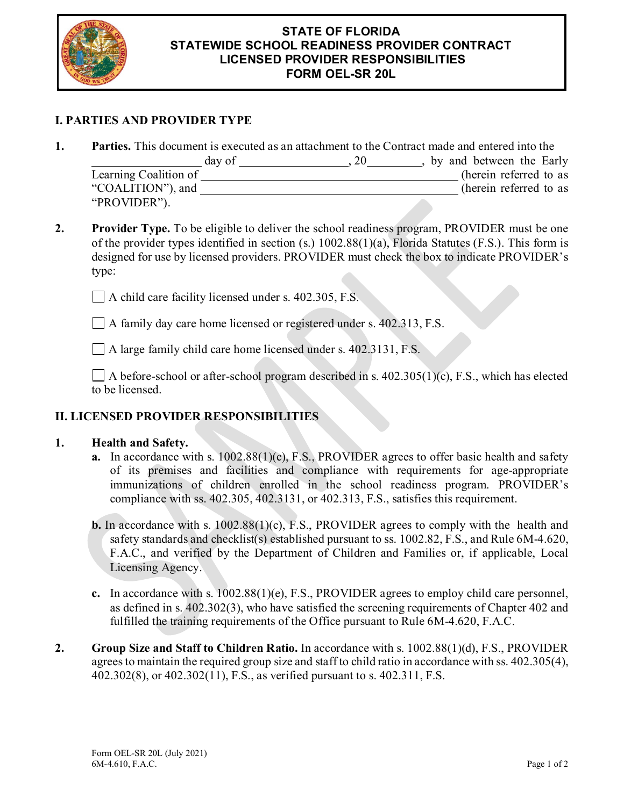

#### **STATE OF FLORIDA STATEWIDE SCHOOL READINESS PROVIDER CONTRACT LICENSED PROVIDER RESPONSIBILITIES FORM OEL-SR 20L**

# **I. PARTIES AND PROVIDER TYPE**

**1. Parties.** This document is executed as an attachment to the Contract made and entered into the

|                       | day of | 20 | by and between the Early |
|-----------------------|--------|----|--------------------------|
| Learning Coalition of |        |    | (herein referred to as   |
| "COALITION"), and     |        |    | (herein referred to as   |
| "PROVIDER").          |        |    |                          |

**2. Provider Type.** To be eligible to deliver the school readiness program, PROVIDER must be one of the provider types identified in section (s.) 1002.88(1)(a), Florida Statutes (F.S.). This form is designed for use by licensed providers. PROVIDER must check the box to indicate PROVIDER's type:

A child care facility licensed under s. 402.305, F.S.

A family day care home licensed or registered under s. 402.313, F.S.

A large family child care home licensed under s. 402.3131, F.S.

 $\Box$  A before-school or after-school program described in s. 402.305(1)(c), F.S., which has elected to be licensed.

## **II. LICENSED PROVIDER RESPONSIBILITIES**

#### **1. Health and Safety.**

- **a.** In accordance with s. 1002.88(1)(c), F.S., PROVIDER agrees to offer basic health and safety of its premises and facilities and compliance with requirements for age-appropriate immunizations of children enrolled in the school readiness program. PROVIDER's compliance with ss. 402.305, 402.3131, or 402.313, F.S., satisfies this requirement.
- **b.** In accordance with s. 1002.88(1)(c), F.S., PROVIDER agrees to comply with the health and safety standards and checklist(s) established pursuant to ss. 1002.82, F.S., and Rule 6M-4.620, F.A.C., and verified by the Department of Children and Families or, if applicable, Local Licensing Agency.
- **c.** In accordance with s. 1002.88(1)(e), F.S., PROVIDER agrees to employ child care personnel, as defined in s. 402.302(3), who have satisfied the screening requirements of Chapter 402 and fulfilled the training requirements of the Office pursuant to Rule 6M-4.620, F.A.C.
- **2. Group Size and Staff to Children Ratio.** In accordance with s. 1002.88(1)(d), F.S., PROVIDER agrees to maintain the required group size and staff to child ratio in accordance with ss. 402.305(4), 402.302(8), or 402.302(11), F.S., as verified pursuant to s. 402.311, F.S.